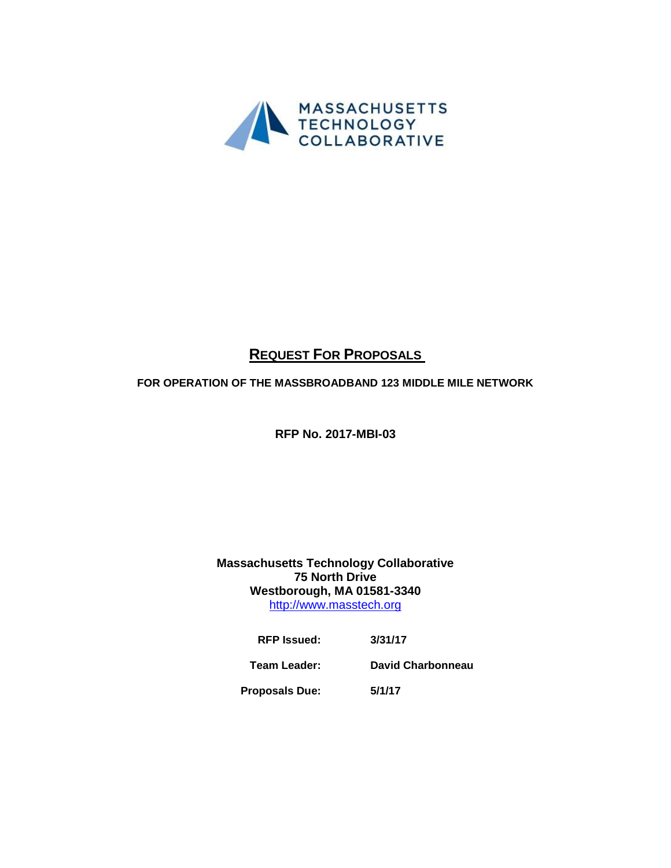

# **REQUEST FOR PROPOSALS**

# **FOR OPERATION OF THE MASSBROADBAND 123 MIDDLE MILE NETWORK**

**RFP No. 2017-MBI-03**

## **Massachusetts Technology Collaborative 75 North Drive Westborough, MA 01581-3340** [http://www.masstech.org](http://www.masstech.org/)

| <b>RFP</b> Issued:    | 3/31/17           |
|-----------------------|-------------------|
| Team Leader:          | David Charbonneau |
| <b>Proposals Due:</b> | 5/1/17            |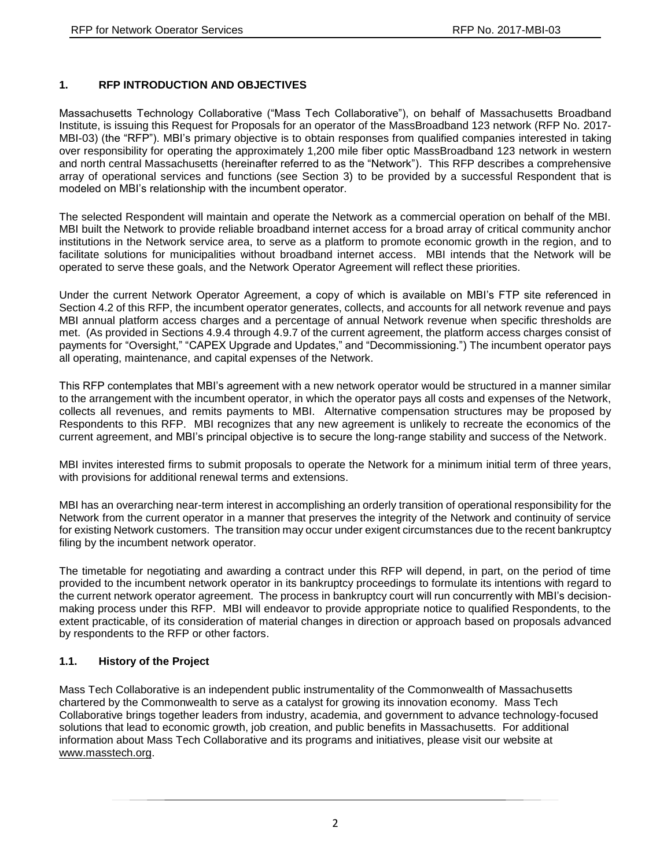## **1. RFP INTRODUCTION AND OBJECTIVES**

Massachusetts Technology Collaborative ("Mass Tech Collaborative"), on behalf of Massachusetts Broadband Institute, is issuing this Request for Proposals for an operator of the MassBroadband 123 network (RFP No. 2017- MBI-03) (the "RFP"). MBI's primary objective is to obtain responses from qualified companies interested in taking over responsibility for operating the approximately 1,200 mile fiber optic MassBroadband 123 network in western and north central Massachusetts (hereinafter referred to as the "Network"). This RFP describes a comprehensive array of operational services and functions (see Section 3) to be provided by a successful Respondent that is modeled on MBI's relationship with the incumbent operator.

The selected Respondent will maintain and operate the Network as a commercial operation on behalf of the MBI. MBI built the Network to provide reliable broadband internet access for a broad array of critical community anchor institutions in the Network service area, to serve as a platform to promote economic growth in the region, and to facilitate solutions for municipalities without broadband internet access. MBI intends that the Network will be operated to serve these goals, and the Network Operator Agreement will reflect these priorities.

Under the current Network Operator Agreement, a copy of which is available on MBI's FTP site referenced in Section 4.2 of this RFP, the incumbent operator generates, collects, and accounts for all network revenue and pays MBI annual platform access charges and a percentage of annual Network revenue when specific thresholds are met. (As provided in Sections 4.9.4 through 4.9.7 of the current agreement, the platform access charges consist of payments for "Oversight," "CAPEX Upgrade and Updates," and "Decommissioning.") The incumbent operator pays all operating, maintenance, and capital expenses of the Network.

This RFP contemplates that MBI's agreement with a new network operator would be structured in a manner similar to the arrangement with the incumbent operator, in which the operator pays all costs and expenses of the Network, collects all revenues, and remits payments to MBI. Alternative compensation structures may be proposed by Respondents to this RFP. MBI recognizes that any new agreement is unlikely to recreate the economics of the current agreement, and MBI's principal objective is to secure the long-range stability and success of the Network.

MBI invites interested firms to submit proposals to operate the Network for a minimum initial term of three years, with provisions for additional renewal terms and extensions.

MBI has an overarching near-term interest in accomplishing an orderly transition of operational responsibility for the Network from the current operator in a manner that preserves the integrity of the Network and continuity of service for existing Network customers. The transition may occur under exigent circumstances due to the recent bankruptcy filing by the incumbent network operator.

The timetable for negotiating and awarding a contract under this RFP will depend, in part, on the period of time provided to the incumbent network operator in its bankruptcy proceedings to formulate its intentions with regard to the current network operator agreement. The process in bankruptcy court will run concurrently with MBI's decisionmaking process under this RFP. MBI will endeavor to provide appropriate notice to qualified Respondents, to the extent practicable, of its consideration of material changes in direction or approach based on proposals advanced by respondents to the RFP or other factors.

#### **1.1. History of the Project**

Mass Tech Collaborative is an independent public instrumentality of the Commonwealth of Massachusetts chartered by the Commonwealth to serve as a catalyst for growing its innovation economy. Mass Tech Collaborative brings together leaders from industry, academia, and government to advance technology-focused solutions that lead to economic growth, job creation, and public benefits in Massachusetts. For additional information about Mass Tech Collaborative and its programs and initiatives, please visit our website at [www.masstech.org.](https://urldefense.proofpoint.com/v2/url?u=http-3A__www.masstech.org&d=DwMF-g&c=14jPbF-1hWnYXveJ5rixtS_Fo3DRrpL7HUwJDAc4HIc&r=4SunwtfKH_EWF0I_-ilUXz3zdXPoLO4eto8gRkkE4Mk&m=yLHJ9L1V1Yc3CHh385IbJ_SdjGL-CcG7RP7UoWSGw_o&s=QFAUDwElefNgz_uMNooecEgji8S0RJS1gDz_7Kc3vz8&e=)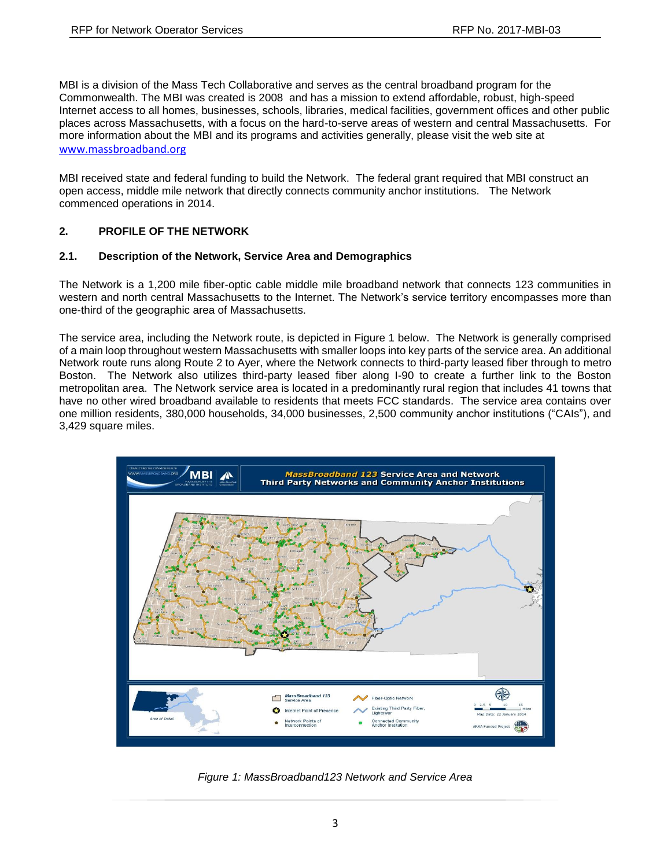MBI is a division of the Mass Tech Collaborative and serves as the central broadband program for the Commonwealth. The MBI was created is 2008 and has a mission to extend affordable, robust, high-speed Internet access to all homes, businesses, schools, libraries, medical facilities, government offices and other public places across Massachusetts, with a focus on the hard-to-serve areas of western and central Massachusetts. For more information about the MBI and its programs and activities generally, please visit the web site at [www.massbroadband.org](http://www.massbroadband.org/)

MBI received state and federal funding to build the Network. The federal grant required that MBI construct an open access, middle mile network that directly connects community anchor institutions. The Network commenced operations in 2014.

#### **2. PROFILE OF THE NETWORK**

#### **2.1. Description of the Network, Service Area and Demographics**

The Network is a 1,200 mile fiber-optic cable middle mile broadband network that connects 123 communities in western and north central Massachusetts to the Internet. The Network's service territory encompasses more than one-third of the geographic area of Massachusetts.

The service area, including the Network route, is depicted in Figure 1 below. The Network is generally comprised of a main loop throughout western Massachusetts with smaller loops into key parts of the service area. An additional Network route runs along Route 2 to Ayer, where the Network connects to third-party leased fiber through to metro Boston. The Network also utilizes third-party leased fiber along I-90 to create a further link to the Boston metropolitan area. The Network service area is located in a predominantly rural region that includes 41 towns that have no other wired broadband available to residents that meets FCC standards. The service area contains over one million residents, 380,000 households, 34,000 businesses, 2,500 community anchor institutions ("CAIs"), and 3,429 square miles.



*Figure 1: MassBroadband123 Network and Service Area*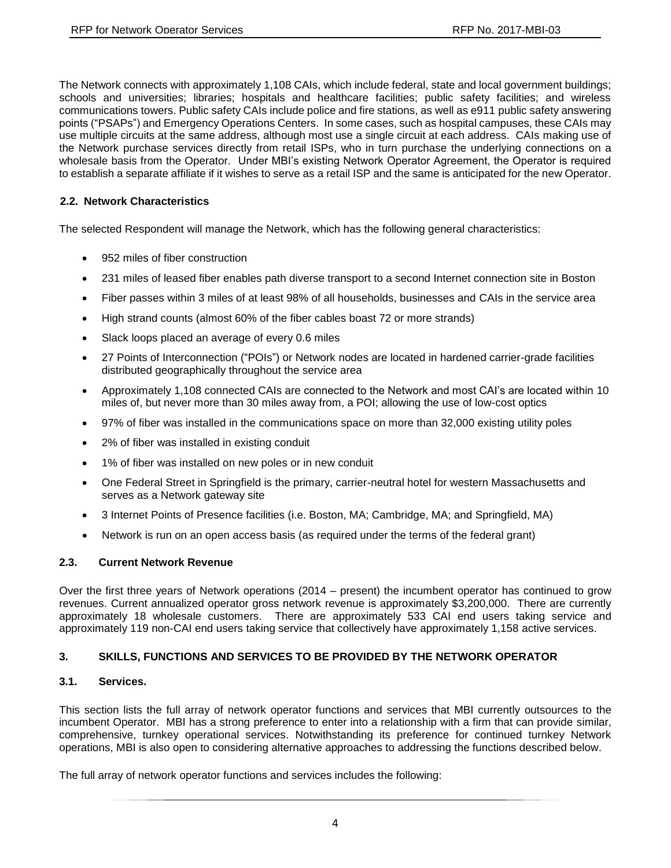The Network connects with approximately 1,108 CAIs, which include federal, state and local government buildings; schools and universities; libraries; hospitals and healthcare facilities; public safety facilities; and wireless communications towers. Public safety CAIs include police and fire stations, as well as e911 public safety answering points ("PSAPs") and Emergency Operations Centers. In some cases, such as hospital campuses, these CAIs may use multiple circuits at the same address, although most use a single circuit at each address. CAIs making use of the Network purchase services directly from retail ISPs, who in turn purchase the underlying connections on a wholesale basis from the Operator. Under MBI's existing Network Operator Agreement, the Operator is required to establish a separate affiliate if it wishes to serve as a retail ISP and the same is anticipated for the new Operator.

## **2.2. Network Characteristics**

The selected Respondent will manage the Network, which has the following general characteristics:

- 952 miles of fiber construction
- 231 miles of leased fiber enables path diverse transport to a second Internet connection site in Boston
- Fiber passes within 3 miles of at least 98% of all households, businesses and CAIs in the service area
- High strand counts (almost 60% of the fiber cables boast 72 or more strands)
- Slack loops placed an average of every 0.6 miles
- 27 Points of Interconnection ("POIs") or Network nodes are located in hardened carrier-grade facilities distributed geographically throughout the service area
- Approximately 1,108 connected CAIs are connected to the Network and most CAI's are located within 10 miles of, but never more than 30 miles away from, a POI; allowing the use of low-cost optics
- 97% of fiber was installed in the communications space on more than 32,000 existing utility poles
- 2% of fiber was installed in existing conduit
- 1% of fiber was installed on new poles or in new conduit
- One Federal Street in Springfield is the primary, carrier-neutral hotel for western Massachusetts and serves as a Network gateway site
- 3 Internet Points of Presence facilities (i.e. Boston, MA; Cambridge, MA; and Springfield, MA)
- Network is run on an open access basis (as required under the terms of the federal grant)

#### **2.3. Current Network Revenue**

Over the first three years of Network operations (2014 – present) the incumbent operator has continued to grow revenues. Current annualized operator gross network revenue is approximately \$3,200,000. There are currently approximately 18 wholesale customers. There are approximately 533 CAI end users taking service and approximately 119 non-CAI end users taking service that collectively have approximately 1,158 active services.

#### **3. SKILLS, FUNCTIONS AND SERVICES TO BE PROVIDED BY THE NETWORK OPERATOR**

#### **3.1. Services.**

This section lists the full array of network operator functions and services that MBI currently outsources to the incumbent Operator. MBI has a strong preference to enter into a relationship with a firm that can provide similar, comprehensive, turnkey operational services. Notwithstanding its preference for continued turnkey Network operations, MBI is also open to considering alternative approaches to addressing the functions described below.

The full array of network operator functions and services includes the following: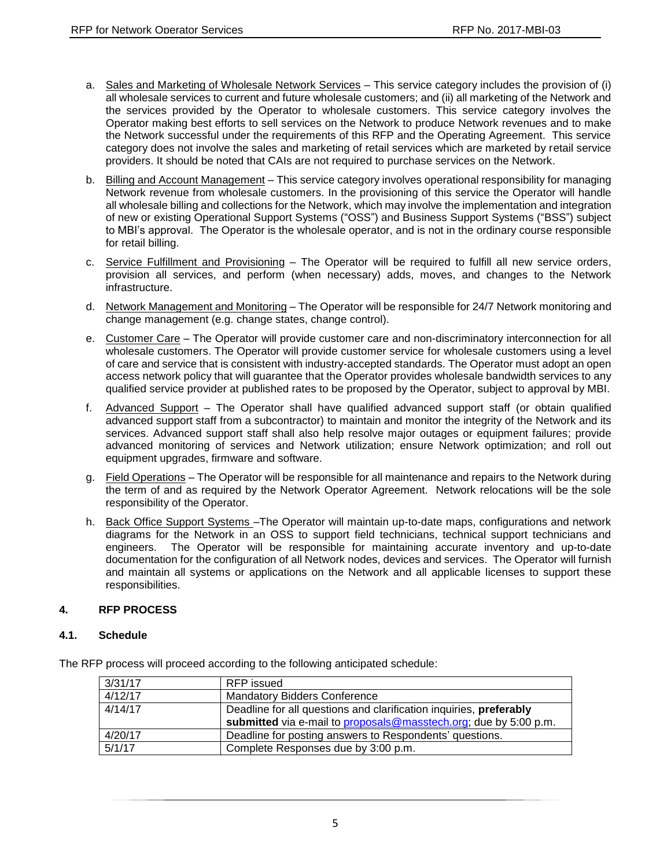- a. Sales and Marketing of Wholesale Network Services This service category includes the provision of (i) all wholesale services to current and future wholesale customers; and (ii) all marketing of the Network and the services provided by the Operator to wholesale customers. This service category involves the Operator making best efforts to sell services on the Network to produce Network revenues and to make the Network successful under the requirements of this RFP and the Operating Agreement. This service category does not involve the sales and marketing of retail services which are marketed by retail service providers. It should be noted that CAIs are not required to purchase services on the Network.
- b. Billing and Account Management This service category involves operational responsibility for managing Network revenue from wholesale customers. In the provisioning of this service the Operator will handle all wholesale billing and collections for the Network, which may involve the implementation and integration of new or existing Operational Support Systems ("OSS") and Business Support Systems ("BSS") subject to MBI's approval. The Operator is the wholesale operator, and is not in the ordinary course responsible for retail billing.
- c. Service Fulfillment and Provisioning The Operator will be required to fulfill all new service orders, provision all services, and perform (when necessary) adds, moves, and changes to the Network infrastructure.
- d. Network Management and Monitoring The Operator will be responsible for 24/7 Network monitoring and change management (e.g. change states, change control).
- e. Customer Care The Operator will provide customer care and non-discriminatory interconnection for all wholesale customers. The Operator will provide customer service for wholesale customers using a level of care and service that is consistent with industry-accepted standards. The Operator must adopt an open access network policy that will guarantee that the Operator provides wholesale bandwidth services to any qualified service provider at published rates to be proposed by the Operator, subject to approval by MBI.
- f. Advanced Support The Operator shall have qualified advanced support staff (or obtain qualified advanced support staff from a subcontractor) to maintain and monitor the integrity of the Network and its services. Advanced support staff shall also help resolve major outages or equipment failures; provide advanced monitoring of services and Network utilization; ensure Network optimization; and roll out equipment upgrades, firmware and software.
- g. Field Operations The Operator will be responsible for all maintenance and repairs to the Network during the term of and as required by the Network Operator Agreement. Network relocations will be the sole responsibility of the Operator.
- h. Back Office Support Systems The Operator will maintain up-to-date maps, configurations and network diagrams for the Network in an OSS to support field technicians, technical support technicians and engineers. The Operator will be responsible for maintaining accurate inventory and up-to-date documentation for the configuration of all Network nodes, devices and services. The Operator will furnish and maintain all systems or applications on the Network and all applicable licenses to support these responsibilities.

#### **4. RFP PROCESS**

#### **4.1. Schedule**

|                                                                    | 3/31/17 | RFP issued                                                         |  |
|--------------------------------------------------------------------|---------|--------------------------------------------------------------------|--|
|                                                                    | 4/12/17 | <b>Mandatory Bidders Conference</b>                                |  |
|                                                                    | 4/14/17 | Deadline for all questions and clarification inquiries, preferably |  |
|                                                                    |         | submitted via e-mail to proposals@masstech.org; due by 5:00 p.m.   |  |
| 4/20/17<br>Deadline for posting answers to Respondents' questions. |         |                                                                    |  |
|                                                                    | 5/1/17  | Complete Responses due by 3:00 p.m.                                |  |

The RFP process will proceed according to the following anticipated schedule: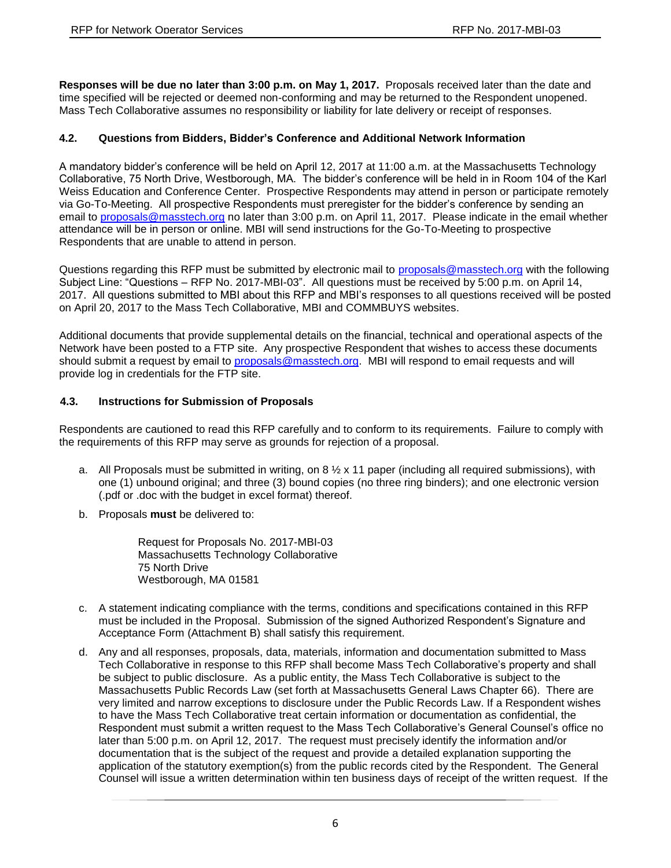**Responses will be due no later than 3:00 p.m. on May 1, 2017.** Proposals received later than the date and time specified will be rejected or deemed non-conforming and may be returned to the Respondent unopened. Mass Tech Collaborative assumes no responsibility or liability for late delivery or receipt of responses.

## **4.2. Questions from Bidders, Bidder's Conference and Additional Network Information**

A mandatory bidder's conference will be held on April 12, 2017 at 11:00 a.m. at the Massachusetts Technology Collaborative, 75 North Drive, Westborough, MA. The bidder's conference will be held in in Room 104 of the Karl Weiss Education and Conference Center. Prospective Respondents may attend in person or participate remotely via Go-To-Meeting. All prospective Respondents must preregister for the bidder's conference by sending an email to [proposals@masstech.org](mailto:proposals@masstech.org) no later than 3:00 p.m. on April 11, 2017. Please indicate in the email whether attendance will be in person or online. MBI will send instructions for the Go-To-Meeting to prospective Respondents that are unable to attend in person.

Questions regarding this RFP must be submitted by electronic mail to [proposals@masstech.org](mailto:proposals@masstech.org) with the following Subject Line: "Questions – RFP No. 2017-MBI-03". All questions must be received by 5:00 p.m. on April 14, 2017. All questions submitted to MBI about this RFP and MBI's responses to all questions received will be posted on April 20, 2017 to the Mass Tech Collaborative, MBI and COMMBUYS websites.

Additional documents that provide supplemental details on the financial, technical and operational aspects of the Network have been posted to a FTP site. Any prospective Respondent that wishes to access these documents should submit a request by email to [proposals@masstech.org.](mailto:proposals@masstech.org) MBI will respond to email requests and will provide log in credentials for the FTP site.

#### **4.3. Instructions for Submission of Proposals**

Respondents are cautioned to read this RFP carefully and to conform to its requirements. Failure to comply with the requirements of this RFP may serve as grounds for rejection of a proposal.

- a. All Proposals must be submitted in writing, on 8  $\frac{1}{2}$  x 11 paper (including all required submissions), with one (1) unbound original; and three (3) bound copies (no three ring binders); and one electronic version (.pdf or .doc with the budget in excel format) thereof.
- b. Proposals **must** be delivered to:

Request for Proposals No. 2017-MBI-03 Massachusetts Technology Collaborative 75 North Drive Westborough, MA 01581

- c. A statement indicating compliance with the terms, conditions and specifications contained in this RFP must be included in the Proposal. Submission of the signed Authorized Respondent's Signature and Acceptance Form (Attachment B) shall satisfy this requirement.
- d. Any and all responses, proposals, data, materials, information and documentation submitted to Mass Tech Collaborative in response to this RFP shall become Mass Tech Collaborative's property and shall be subject to public disclosure. As a public entity, the Mass Tech Collaborative is subject to the Massachusetts Public Records Law (set forth at Massachusetts General Laws Chapter 66). There are very limited and narrow exceptions to disclosure under the Public Records Law. If a Respondent wishes to have the Mass Tech Collaborative treat certain information or documentation as confidential, the Respondent must submit a written request to the Mass Tech Collaborative's General Counsel's office no later than 5:00 p.m. on April 12, 2017. The request must precisely identify the information and/or documentation that is the subject of the request and provide a detailed explanation supporting the application of the statutory exemption(s) from the public records cited by the Respondent. The General Counsel will issue a written determination within ten business days of receipt of the written request. If the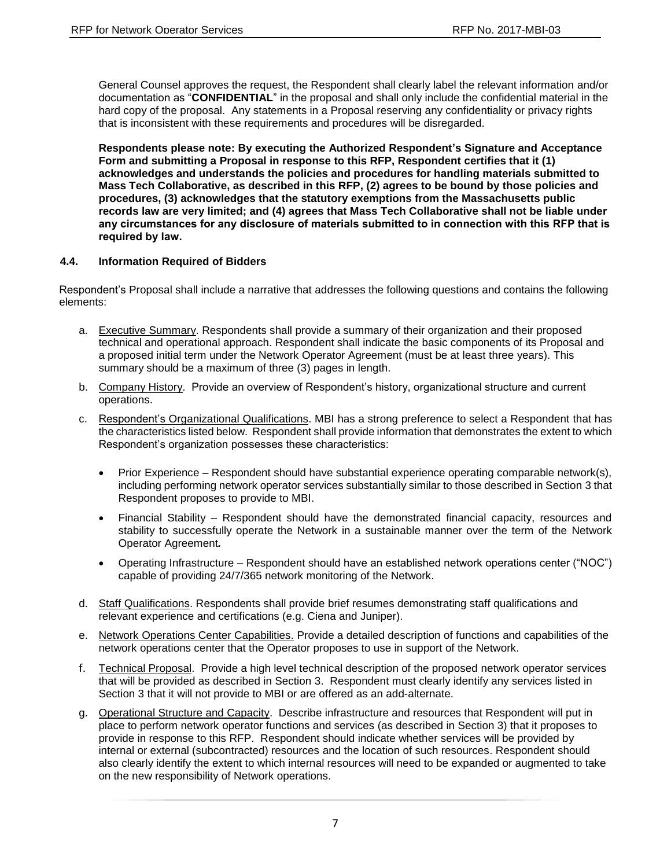General Counsel approves the request, the Respondent shall clearly label the relevant information and/or documentation as "**CONFIDENTIAL**" in the proposal and shall only include the confidential material in the hard copy of the proposal. Any statements in a Proposal reserving any confidentiality or privacy rights that is inconsistent with these requirements and procedures will be disregarded.

**Respondents please note: By executing the Authorized Respondent's Signature and Acceptance Form and submitting a Proposal in response to this RFP, Respondent certifies that it (1) acknowledges and understands the policies and procedures for handling materials submitted to Mass Tech Collaborative, as described in this RFP, (2) agrees to be bound by those policies and procedures, (3) acknowledges that the statutory exemptions from the Massachusetts public records law are very limited; and (4) agrees that Mass Tech Collaborative shall not be liable under any circumstances for any disclosure of materials submitted to in connection with this RFP that is required by law.**

#### **4.4. Information Required of Bidders**

Respondent's Proposal shall include a narrative that addresses the following questions and contains the following elements:

- a. Executive Summary. Respondents shall provide a summary of their organization and their proposed technical and operational approach. Respondent shall indicate the basic components of its Proposal and a proposed initial term under the Network Operator Agreement (must be at least three years). This summary should be a maximum of three (3) pages in length.
- b. Company History. Provide an overview of Respondent's history, organizational structure and current operations.
- c. Respondent's Organizational Qualifications. MBI has a strong preference to select a Respondent that has the characteristics listed below. Respondent shall provide information that demonstrates the extent to which Respondent's organization possesses these characteristics:
	- $\bullet$  Prior Experience Respondent should have substantial experience operating comparable network(s), including performing network operator services substantially similar to those described in Section 3 that Respondent proposes to provide to MBI.
	- Financial Stability Respondent should have the demonstrated financial capacity, resources and stability to successfully operate the Network in a sustainable manner over the term of the Network Operator Agreement*.*
	- Operating Infrastructure Respondent should have an established network operations center ("NOC") capable of providing 24/7/365 network monitoring of the Network.
- d. Staff Qualifications. Respondents shall provide brief resumes demonstrating staff qualifications and relevant experience and certifications (e.g. Ciena and Juniper).
- e. Network Operations Center Capabilities. Provide a detailed description of functions and capabilities of the network operations center that the Operator proposes to use in support of the Network.
- f. Technical Proposal. Provide a high level technical description of the proposed network operator services that will be provided as described in Section 3. Respondent must clearly identify any services listed in Section 3 that it will not provide to MBI or are offered as an add-alternate.
- g. Operational Structure and Capacity. Describe infrastructure and resources that Respondent will put in place to perform network operator functions and services (as described in Section 3) that it proposes to provide in response to this RFP. Respondent should indicate whether services will be provided by internal or external (subcontracted) resources and the location of such resources. Respondent should also clearly identify the extent to which internal resources will need to be expanded or augmented to take on the new responsibility of Network operations.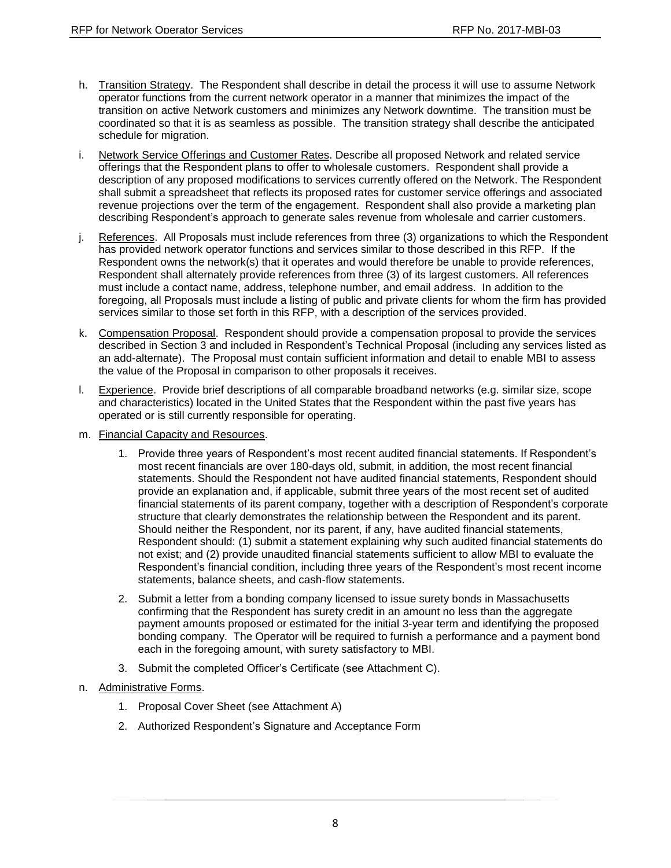- h. Transition Strategy. The Respondent shall describe in detail the process it will use to assume Network operator functions from the current network operator in a manner that minimizes the impact of the transition on active Network customers and minimizes any Network downtime. The transition must be coordinated so that it is as seamless as possible. The transition strategy shall describe the anticipated schedule for migration.
- i. Network Service Offerings and Customer Rates. Describe all proposed Network and related service offerings that the Respondent plans to offer to wholesale customers. Respondent shall provide a description of any proposed modifications to services currently offered on the Network. The Respondent shall submit a spreadsheet that reflects its proposed rates for customer service offerings and associated revenue projections over the term of the engagement. Respondent shall also provide a marketing plan describing Respondent's approach to generate sales revenue from wholesale and carrier customers.
- j. References. All Proposals must include references from three (3) organizations to which the Respondent has provided network operator functions and services similar to those described in this RFP. If the Respondent owns the network(s) that it operates and would therefore be unable to provide references, Respondent shall alternately provide references from three (3) of its largest customers. All references must include a contact name, address, telephone number, and email address. In addition to the foregoing, all Proposals must include a listing of public and private clients for whom the firm has provided services similar to those set forth in this RFP, with a description of the services provided.
- k. Compensation Proposal. Respondent should provide a compensation proposal to provide the services described in Section 3 and included in Respondent's Technical Proposal (including any services listed as an add-alternate). The Proposal must contain sufficient information and detail to enable MBI to assess the value of the Proposal in comparison to other proposals it receives.
- l. Experience. Provide brief descriptions of all comparable broadband networks (e.g. similar size, scope and characteristics) located in the United States that the Respondent within the past five years has operated or is still currently responsible for operating.
- m. Financial Capacity and Resources.
	- 1. Provide three years of Respondent's most recent audited financial statements. If Respondent's most recent financials are over 180-days old, submit, in addition, the most recent financial statements. Should the Respondent not have audited financial statements, Respondent should provide an explanation and, if applicable, submit three years of the most recent set of audited financial statements of its parent company, together with a description of Respondent's corporate structure that clearly demonstrates the relationship between the Respondent and its parent. Should neither the Respondent, nor its parent, if any, have audited financial statements, Respondent should: (1) submit a statement explaining why such audited financial statements do not exist; and (2) provide unaudited financial statements sufficient to allow MBI to evaluate the Respondent's financial condition, including three years of the Respondent's most recent income statements, balance sheets, and cash-flow statements.
	- 2. Submit a letter from a bonding company licensed to issue surety bonds in Massachusetts confirming that the Respondent has surety credit in an amount no less than the aggregate payment amounts proposed or estimated for the initial 3-year term and identifying the proposed bonding company. The Operator will be required to furnish a performance and a payment bond each in the foregoing amount, with surety satisfactory to MBI.
	- 3. Submit the completed Officer's Certificate (see Attachment C).
- n. Administrative Forms.
	- 1. Proposal Cover Sheet (see Attachment A)
	- 2. Authorized Respondent's Signature and Acceptance Form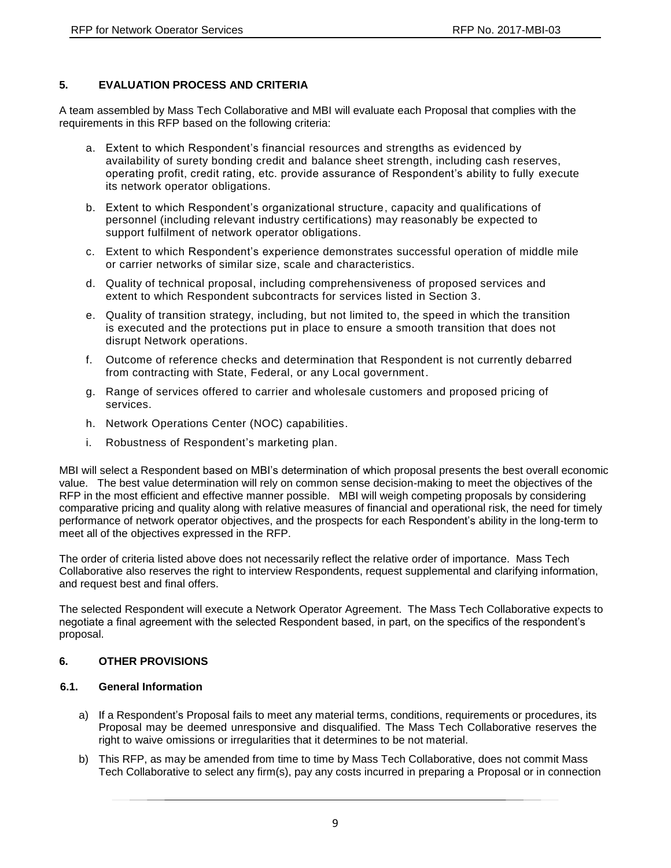## **5. EVALUATION PROCESS AND CRITERIA**

A team assembled by Mass Tech Collaborative and MBI will evaluate each Proposal that complies with the requirements in this RFP based on the following criteria:

- a. Extent to which Respondent's financial resources and strengths as evidenced by availability of surety bonding credit and balance sheet strength, including cash reserves, operating profit, credit rating, etc. provide assurance of Respondent's ability to fully execute its network operator obligations.
- b. Extent to which Respondent's organizational structure, capacity and qualifications of personnel (including relevant industry certifications) may reasonably be expected to support fulfilment of network operator obligations.
- c. Extent to which Respondent's experience demonstrates successful operation of middle mile or carrier networks of similar size, scale and characteristics.
- d. Quality of technical proposal, including comprehensiveness of proposed services and extent to which Respondent subcontracts for services listed in Section 3.
- e. Quality of transition strategy, including, but not limited to, the speed in which the transition is executed and the protections put in place to ensure a smooth transition that does not disrupt Network operations.
- f. Outcome of reference checks and determination that Respondent is not currently debarred from contracting with State, Federal, or any Local government.
- g. Range of services offered to carrier and wholesale customers and proposed pricing of services.
- h. Network Operations Center (NOC) capabilities.
- i. Robustness of Respondent's marketing plan.

MBI will select a Respondent based on MBI's determination of which proposal presents the best overall economic value. The best value determination will rely on common sense decision-making to meet the objectives of the RFP in the most efficient and effective manner possible. MBI will weigh competing proposals by considering comparative pricing and quality along with relative measures of financial and operational risk, the need for timely performance of network operator objectives, and the prospects for each Respondent's ability in the long-term to meet all of the objectives expressed in the RFP.

The order of criteria listed above does not necessarily reflect the relative order of importance. Mass Tech Collaborative also reserves the right to interview Respondents, request supplemental and clarifying information, and request best and final offers.

The selected Respondent will execute a Network Operator Agreement. The Mass Tech Collaborative expects to negotiate a final agreement with the selected Respondent based, in part, on the specifics of the respondent's proposal.

#### **6. OTHER PROVISIONS**

#### **6.1. General Information**

- a) If a Respondent's Proposal fails to meet any material terms, conditions, requirements or procedures, its Proposal may be deemed unresponsive and disqualified. The Mass Tech Collaborative reserves the right to waive omissions or irregularities that it determines to be not material.
- b) This RFP, as may be amended from time to time by Mass Tech Collaborative, does not commit Mass Tech Collaborative to select any firm(s), pay any costs incurred in preparing a Proposal or in connection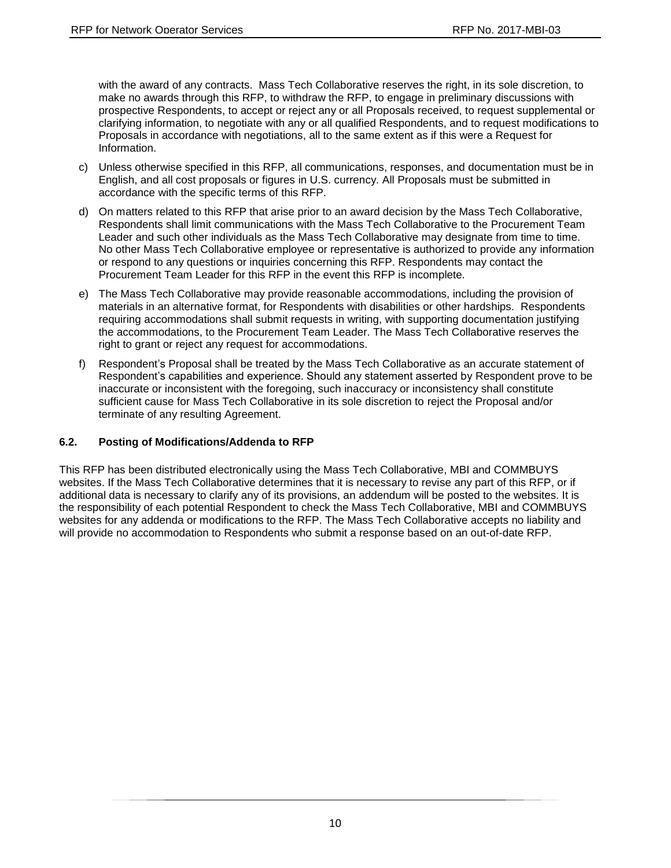with the award of any contracts. Mass Tech Collaborative reserves the right, in its sole discretion, to make no awards through this RFP, to withdraw the RFP, to engage in preliminary discussions with prospective Respondents, to accept or reject any or all Proposals received, to request supplemental or clarifying information, to negotiate with any or all qualified Respondents, and to request modifications to Proposals in accordance with negotiations, all to the same extent as if this were a Request for Information.

- c) Unless otherwise specified in this RFP, all communications, responses, and documentation must be in English, and all cost proposals or figures in U.S. currency. All Proposals must be submitted in accordance with the specific terms of this RFP.
- d) On matters related to this RFP that arise prior to an award decision by the Mass Tech Collaborative, Respondents shall limit communications with the Mass Tech Collaborative to the Procurement Team Leader and such other individuals as the Mass Tech Collaborative may designate from time to time. No other Mass Tech Collaborative employee or representative is authorized to provide any information or respond to any questions or inquiries concerning this RFP. Respondents may contact the Procurement Team Leader for this RFP in the event this RFP is incomplete.
- e) The Mass Tech Collaborative may provide reasonable accommodations, including the provision of materials in an alternative format, for Respondents with disabilities or other hardships. Respondents requiring accommodations shall submit requests in writing, with supporting documentation justifying the accommodations, to the Procurement Team Leader. The Mass Tech Collaborative reserves the right to grant or reject any request for accommodations.
- f) Respondent's Proposal shall be treated by the Mass Tech Collaborative as an accurate statement of Respondent's capabilities and experience. Should any statement asserted by Respondent prove to be inaccurate or inconsistent with the foregoing, such inaccuracy or inconsistency shall constitute sufficient cause for Mass Tech Collaborative in its sole discretion to reject the Proposal and/or terminate of any resulting Agreement.

#### **6.2. Posting of Modifications/Addenda to RFP**

This RFP has been distributed electronically using the Mass Tech Collaborative, MBI and COMMBUYS websites. If the Mass Tech Collaborative determines that it is necessary to revise any part of this RFP, or if additional data is necessary to clarify any of its provisions, an addendum will be posted to the websites. It is the responsibility of each potential Respondent to check the Mass Tech Collaborative, MBI and COMMBUYS websites for any addenda or modifications to the RFP. The Mass Tech Collaborative accepts no liability and will provide no accommodation to Respondents who submit a response based on an out-of-date RFP.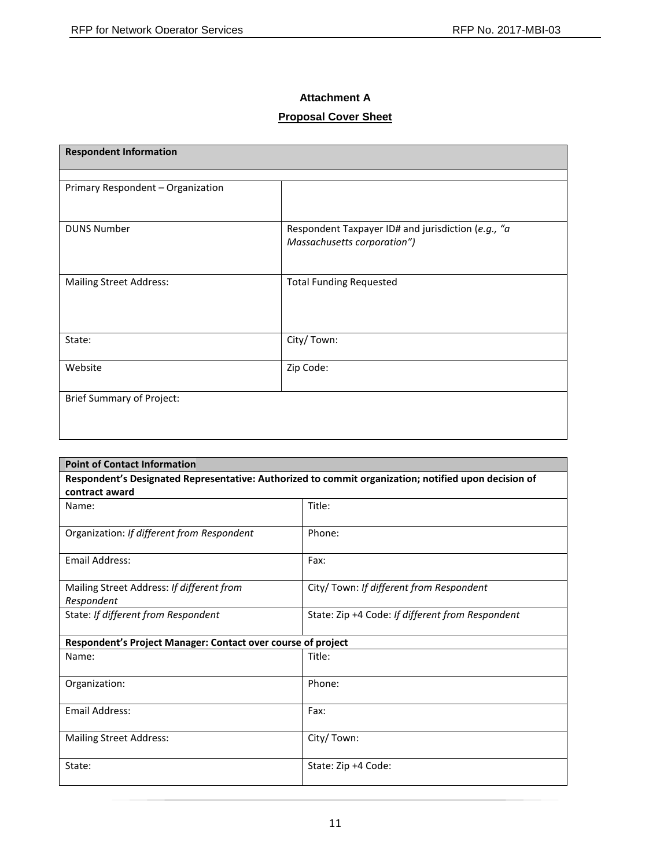## **Attachment A**

# **Proposal Cover Sheet**

| <b>Respondent Information</b>     |                                                                                   |  |
|-----------------------------------|-----------------------------------------------------------------------------------|--|
|                                   |                                                                                   |  |
| Primary Respondent - Organization |                                                                                   |  |
| <b>DUNS Number</b>                | Respondent Taxpayer ID# and jurisdiction (e.g., "a<br>Massachusetts corporation") |  |
| <b>Mailing Street Address:</b>    | <b>Total Funding Requested</b>                                                    |  |
| State:                            | City/Town:                                                                        |  |
| Website                           | Zip Code:                                                                         |  |
| <b>Brief Summary of Project:</b>  |                                                                                   |  |

| <b>Point of Contact Information</b>                          |                                                                                                      |  |
|--------------------------------------------------------------|------------------------------------------------------------------------------------------------------|--|
|                                                              | Respondent's Designated Representative: Authorized to commit organization; notified upon decision of |  |
| contract award                                               |                                                                                                      |  |
| Name:                                                        | Title:                                                                                               |  |
| Organization: If different from Respondent                   | Phone:                                                                                               |  |
| Email Address:                                               | Fax:                                                                                                 |  |
| Mailing Street Address: If different from<br>Respondent      | City/ Town: If different from Respondent                                                             |  |
| State: If different from Respondent                          | State: Zip +4 Code: If different from Respondent                                                     |  |
| Respondent's Project Manager: Contact over course of project |                                                                                                      |  |
| Name:                                                        | Title:                                                                                               |  |
| Organization:                                                | Phone:                                                                                               |  |
| <b>Email Address:</b>                                        | Fax:                                                                                                 |  |
| <b>Mailing Street Address:</b>                               | City/Town:                                                                                           |  |
| State:                                                       | State: Zip +4 Code:                                                                                  |  |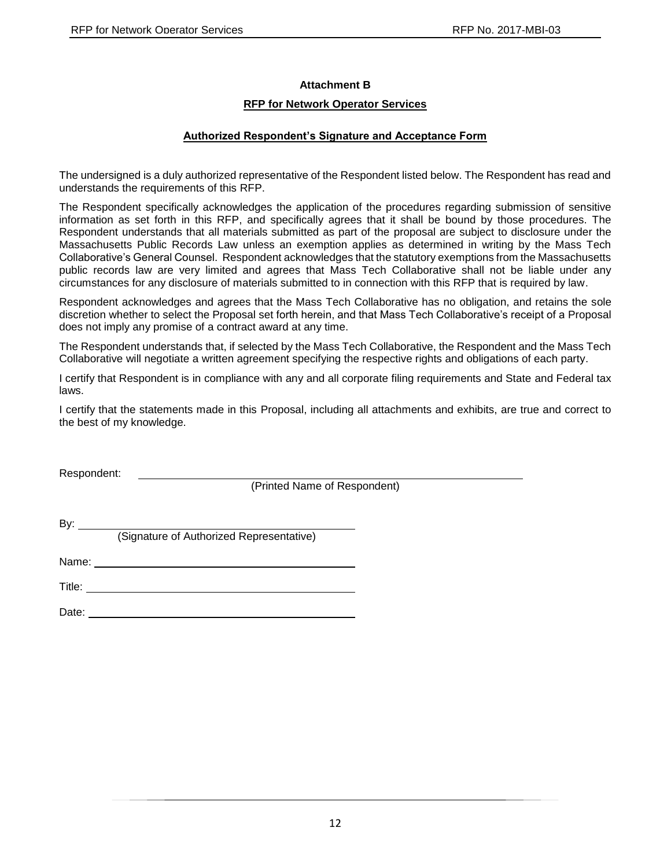#### **Attachment B**

#### **RFP for Network Operator Services**

#### **Authorized Respondent's Signature and Acceptance Form**

The undersigned is a duly authorized representative of the Respondent listed below. The Respondent has read and understands the requirements of this RFP.

The Respondent specifically acknowledges the application of the procedures regarding submission of sensitive information as set forth in this RFP, and specifically agrees that it shall be bound by those procedures. The Respondent understands that all materials submitted as part of the proposal are subject to disclosure under the Massachusetts Public Records Law unless an exemption applies as determined in writing by the Mass Tech Collaborative's General Counsel. Respondent acknowledges that the statutory exemptions from the Massachusetts public records law are very limited and agrees that Mass Tech Collaborative shall not be liable under any circumstances for any disclosure of materials submitted to in connection with this RFP that is required by law.

Respondent acknowledges and agrees that the Mass Tech Collaborative has no obligation, and retains the sole discretion whether to select the Proposal set forth herein, and that Mass Tech Collaborative's receipt of a Proposal does not imply any promise of a contract award at any time.

The Respondent understands that, if selected by the Mass Tech Collaborative, the Respondent and the Mass Tech Collaborative will negotiate a written agreement specifying the respective rights and obligations of each party.

I certify that Respondent is in compliance with any and all corporate filing requirements and State and Federal tax laws.

I certify that the statements made in this Proposal, including all attachments and exhibits, are true and correct to the best of my knowledge.

Respondent:

(Printed Name of Respondent)

By:  $\rule{1em}{0.15mm}$ (Signature of Authorized Representative)

Name: with a state of the state of the state of the state of the state of the state of the state of the state of the state of the state of the state of the state of the state of the state of the state of the state of the s

Title: **The Community of the Community of the Community of the Community of the Community of the Community of the Community of the Community of the Community of the Community of the Community of the Community of the Commun** 

Date: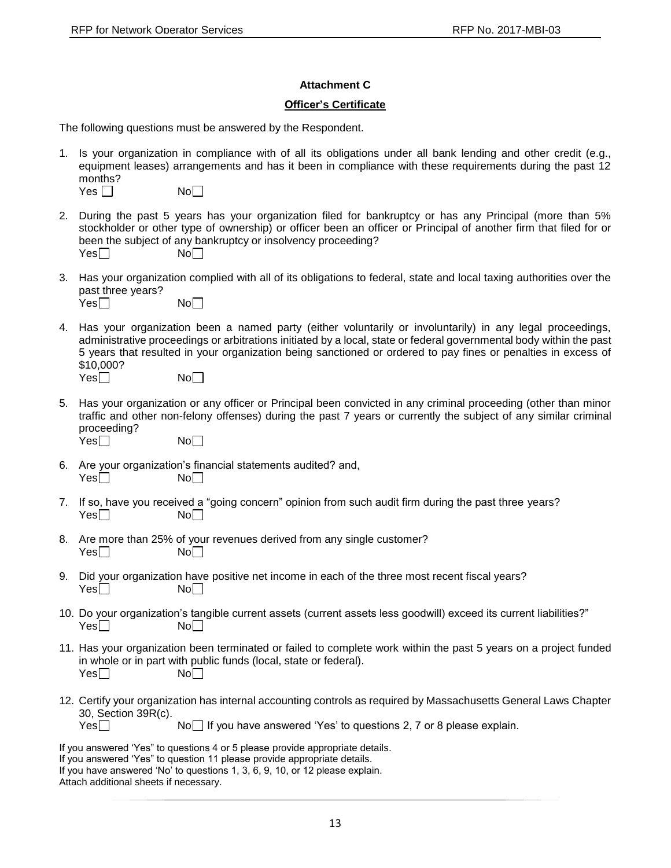#### **Attachment C**

#### **Officer's Certificate**

The following questions must be answered by the Respondent.

1. Is your organization in compliance with of all its obligations under all bank lending and other credit (e.g., equipment leases) arrangements and has it been in compliance with these requirements during the past 12 months?  $Yes \Box$  No $\Box$ 

|--|--|--|

M

- 2. During the past 5 years has your organization filed for bankruptcy or has any Principal (more than 5% stockholder or other type of ownership) or officer been an officer or Principal of another firm that filed for or been the subject of any bankruptcy or insolvency proceeding?<br>
Yes $\Box$  $Yes$
- 3. Has your organization complied with all of its obligations to federal, state and local taxing authorities over the past three years?

| Yes <sup>[</sup> | No <sub>1</sub> |
|------------------|-----------------|
|------------------|-----------------|

- 4. Has your organization been a named party (either voluntarily or involuntarily) in any legal proceedings, administrative proceedings or arbitrations initiated by a local, state or federal governmental body within the past 5 years that resulted in your organization being sanctioned or ordered to pay fines or penalties in excess of \$10,000?  $Yes \Box$  No $\Box$
- 5. Has your organization or any officer or Principal been convicted in any criminal proceeding (other than minor traffic and other non-felony offenses) during the past 7 years or currently the subject of any similar criminal proceeding?
	- $Yes \Box$
- 6. Are your organization's financial statements audited? and,  $Yes \Box$
- 7. If so, have you received a "going concern" opinion from such audit firm during the past three years?  $Yes \Box$  No $\Box$
- 8. Are more than 25% of your revenues derived from any single customer?  $Yes \Box$  No
- 9. Did your organization have positive net income in each of the three most recent fiscal years?  $Yes \Box$  No $\Box$
- 10. Do your organization's tangible current assets (current assets less goodwill) exceed its current liabilities?"<br>Yes $\Box$  $Yes \Box$
- 11. Has your organization been terminated or failed to complete work within the past 5 years on a project funded in whole or in part with public funds (local, state or federal).  $Yes \Box$
- 12. Certify your organization has internal accounting controls as required by Massachusetts General Laws Chapter 30, Section 39R(c).

 $Yes \Box$  No If you have answered 'Yes' to questions 2, 7 or 8 please explain.

If you answered 'Yes" to questions 4 or 5 please provide appropriate details.

- If you answered 'Yes" to question 11 please provide appropriate details.
- If you have answered 'No' to questions 1, 3, 6, 9, 10, or 12 please explain.

Attach additional sheets if necessary.